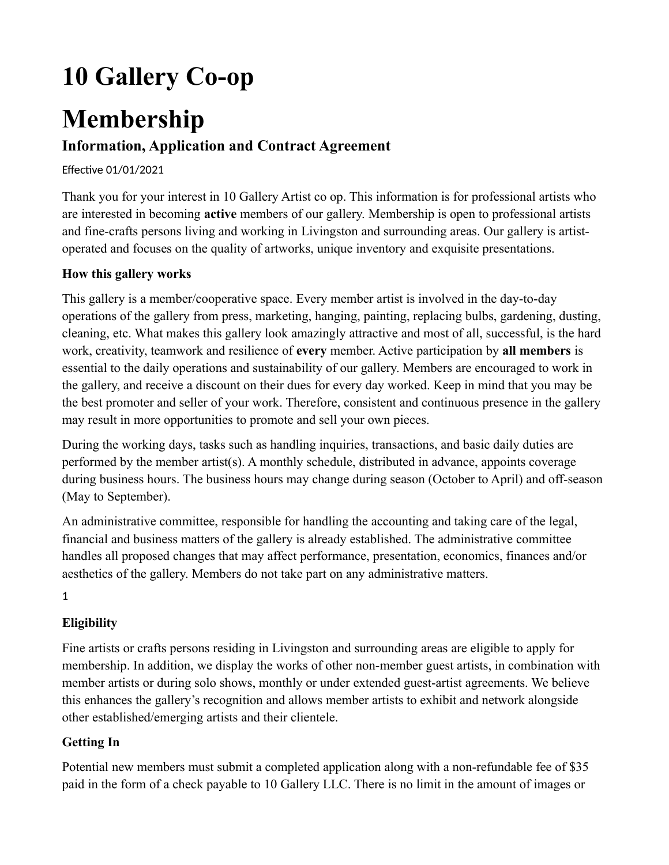# **10 Gallery Co-op**

## **Membership**

### **Information, Application and Contract Agreement**

#### Effective 01/01/2021

Thank you for your interest in 10 Gallery Artist co op. This information is for professional artists who are interested in becoming **active** members of our gallery. Membership is open to professional artists and fine-crafts persons living and working in Livingston and surrounding areas. Our gallery is artistoperated and focuses on the quality of artworks, unique inventory and exquisite presentations.

#### **How this gallery works**

This gallery is a member/cooperative space. Every member artist is involved in the day-to-day operations of the gallery from press, marketing, hanging, painting, replacing bulbs, gardening, dusting, cleaning, etc. What makes this gallery look amazingly attractive and most of all, successful, is the hard work, creativity, teamwork and resilience of **every** member. Active participation by **all members** is essential to the daily operations and sustainability of our gallery. Members are encouraged to work in the gallery, and receive a discount on their dues for every day worked. Keep in mind that you may be the best promoter and seller of your work. Therefore, consistent and continuous presence in the gallery may result in more opportunities to promote and sell your own pieces.

During the working days, tasks such as handling inquiries, transactions, and basic daily duties are performed by the member artist(s). A monthly schedule, distributed in advance, appoints coverage during business hours. The business hours may change during season (October to April) and off-season (May to September).

An administrative committee, responsible for handling the accounting and taking care of the legal, financial and business matters of the gallery is already established. The administrative committee handles all proposed changes that may affect performance, presentation, economics, finances and/or aesthetics of the gallery. Members do not take part on any administrative matters.

1

#### **Eligibility**

Fine artists or crafts persons residing in Livingston and surrounding areas are eligible to apply for membership. In addition, we display the works of other non-member guest artists, in combination with member artists or during solo shows, monthly or under extended guest-artist agreements. We believe this enhances the gallery's recognition and allows member artists to exhibit and network alongside other established/emerging artists and their clientele.

#### **Getting In**

Potential new members must submit a completed application along with a non-refundable fee of \$35 paid in the form of a check payable to 10 Gallery LLC. There is no limit in the amount of images or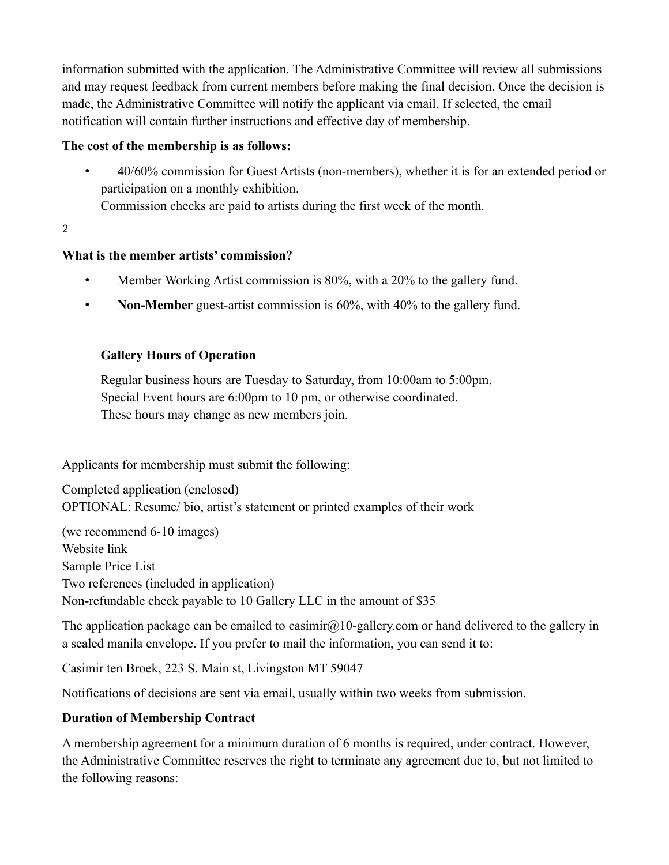information submitted with the application. The Administrative Committee will review all submissions and may request feedback from current members before making the final decision. Once the decision is made, the Administrative Committee will notify the applicant via email. If selected, the email notification will contain further instructions and effective day of membership.

#### **The cost of the membership is as follows:**

• 40/60% commission for Guest Artists (non-members), whether it is for an extended period or participation on a monthly exhibition.

Commission checks are paid to artists during the first week of the month.

2

#### **What is the member artists' commission?**

- Member Working Artist commission is 80%, with a 20% to the gallery fund.
- **Non-Member** guest-artist commission is 60%, with 40% to the gallery fund.

#### **Gallery Hours of Operation**

Regular business hours are Tuesday to Saturday, from 10:00am to 5:00pm. Special Event hours are 6:00pm to 10 pm, or otherwise coordinated. These hours may change as new members join.

Applicants for membership must submit the following:

Completed application (enclosed) OPTIONAL: Resume/ bio, artist's statement or printed examples of their work

(we recommend 6-10 images) Website link Sample Price List Two references (included in application) Non-refundable check payable to 10 Gallery LLC in the amount of \$35

The application package can be emailed to casimir $\omega$ 10-gallery.com or hand delivered to the gallery in a sealed manila envelope. If you prefer to mail the information, you can send it to:

Casimir ten Broek, 223 S. Main st, Livingston MT 59047

Notifications of decisions are sent via email, usually within two weeks from submission.

#### **Duration of Membership Contract**

A membership agreement for a minimum duration of 6 months is required, under contract. However, the Administrative Committee reserves the right to terminate any agreement due to, but not limited to the following reasons: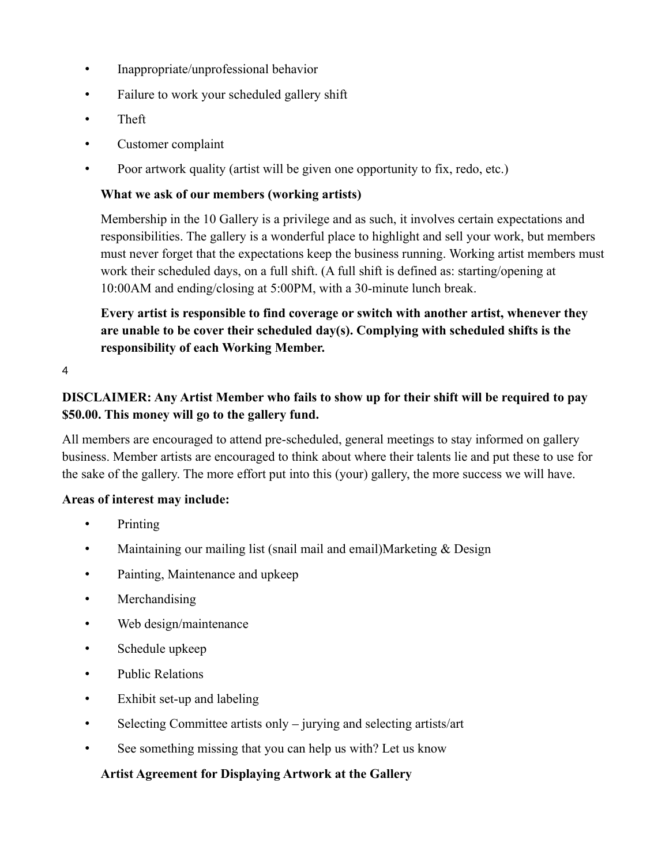- Inappropriate/unprofessional behavior
- Failure to work your scheduled gallery shift
- Theft
- Customer complaint
- Poor artwork quality (artist will be given one opportunity to fix, redo, etc.)

#### **What we ask of our members (working artists)**

Membership in the 10 Gallery is a privilege and as such, it involves certain expectations and responsibilities. The gallery is a wonderful place to highlight and sell your work, but members must never forget that the expectations keep the business running. Working artist members must work their scheduled days, on a full shift. (A full shift is defined as: starting/opening at 10:00AM and ending/closing at 5:00PM, with a 30-minute lunch break.

**Every artist is responsible to find coverage or switch with another artist, whenever they are unable to be cover their scheduled day(s). Complying with scheduled shifts is the responsibility of each Working Member.** 

4

#### **DISCLAIMER: Any Artist Member who fails to show up for their shift will be required to pay \$50.00. This money will go to the gallery fund.**

All members are encouraged to attend pre-scheduled, general meetings to stay informed on gallery business. Member artists are encouraged to think about where their talents lie and put these to use for the sake of the gallery. The more effort put into this (your) gallery, the more success we will have.

#### **Areas of interest may include:**

- Printing
- Maintaining our mailing list (snail mail and email)Marketing & Design
- Painting, Maintenance and upkeep
- Merchandising
- Web design/maintenance
- Schedule upkeep
- Public Relations
- Exhibit set-up and labeling
- Selecting Committee artists only jurying and selecting artists/art
- See something missing that you can help us with? Let us know

#### **Artist Agreement for Displaying Artwork at the Gallery**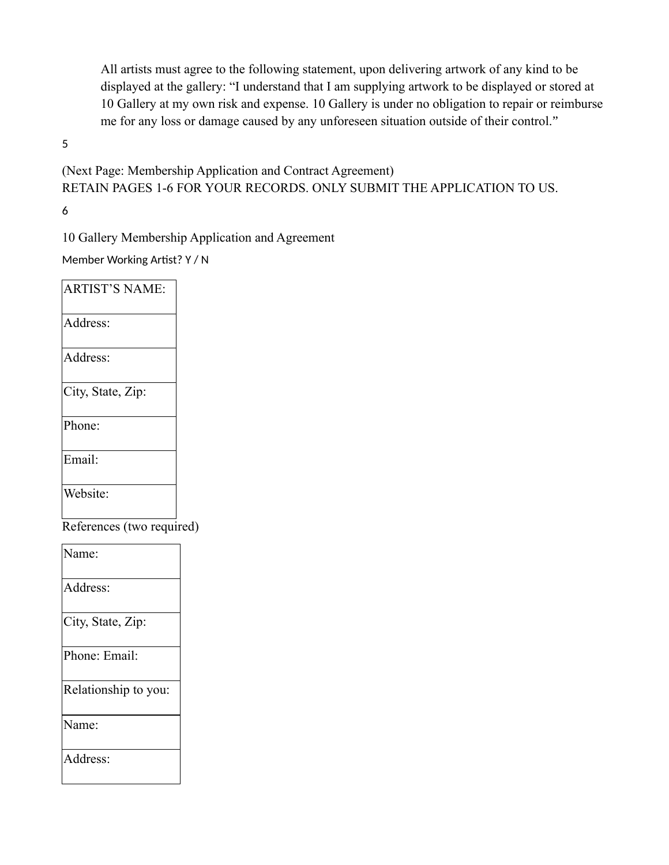All artists must agree to the following statement, upon delivering artwork of any kind to be displayed at the gallery: "I understand that I am supplying artwork to be displayed or stored at 10 Gallery at my own risk and expense. 10 Gallery is under no obligation to repair or reimburse me for any loss or damage caused by any unforeseen situation outside of their control."

5

(Next Page: Membership Application and Contract Agreement) RETAIN PAGES 1-6 FOR YOUR RECORDS. ONLY SUBMIT THE APPLICATION TO US.

6

10 Gallery Membership Application and Agreement

Member Working Artist? Y / N

| <b>ARTIST'S NAME:</b>     |  |
|---------------------------|--|
| Address:                  |  |
| Address:                  |  |
| City, State, Zip:         |  |
| Phone:                    |  |
| Email:                    |  |
| Website:                  |  |
| References (two required) |  |
| Name:                     |  |
| Address:                  |  |
| City, State, Zip:         |  |
| Phone: Email:             |  |
| Relationship to you:      |  |
| Name:                     |  |
| Address:                  |  |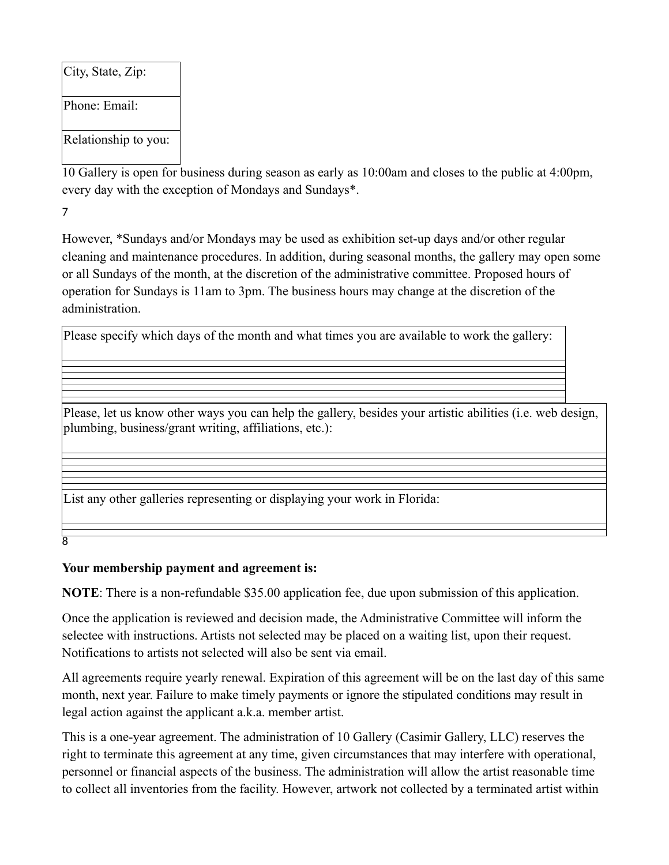City, State, Zip: Phone: Email: Relationship to you:

10 Gallery is open for business during season as early as 10:00am and closes to the public at 4:00pm, every day with the exception of Mondays and Sundays\*.

7

However, \*Sundays and/or Mondays may be used as exhibition set-up days and/or other regular cleaning and maintenance procedures. In addition, during seasonal months, the gallery may open some or all Sundays of the month, at the discretion of the administrative committee. Proposed hours of operation for Sundays is 11am to 3pm. The business hours may change at the discretion of the administration.

Please specify which days of the month and what times you are available to work the gallery:

Please, let us know other ways you can help the gallery, besides your artistic abilities (i.e. web design, plumbing, business/grant writing, affiliations, etc.):

List any other galleries representing or displaying your work in Florida:

8

#### **Your membership payment and agreement is:**

**NOTE**: There is a non-refundable \$35.00 application fee, due upon submission of this application.

Once the application is reviewed and decision made, the Administrative Committee will inform the selectee with instructions. Artists not selected may be placed on a waiting list, upon their request. Notifications to artists not selected will also be sent via email.

All agreements require yearly renewal. Expiration of this agreement will be on the last day of this same month, next year. Failure to make timely payments or ignore the stipulated conditions may result in legal action against the applicant a.k.a. member artist.

This is a one-year agreement. The administration of 10 Gallery (Casimir Gallery, LLC) reserves the right to terminate this agreement at any time, given circumstances that may interfere with operational, personnel or financial aspects of the business. The administration will allow the artist reasonable time to collect all inventories from the facility. However, artwork not collected by a terminated artist within